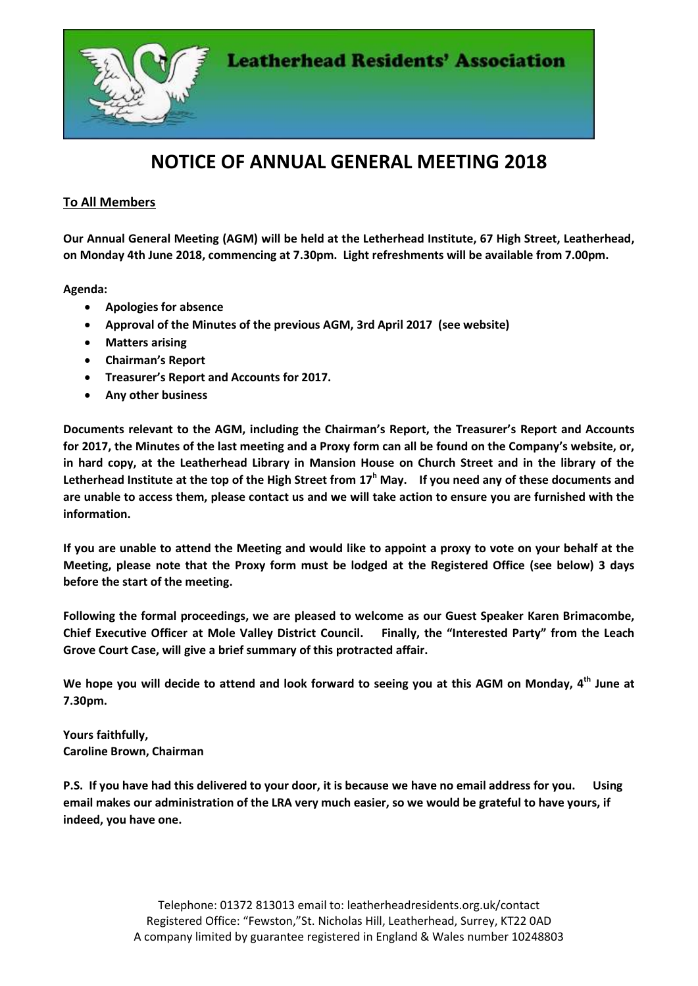

## **NOTICE OF ANNUAL GENERAL MEETING 2018**

## **To All Members**

**Our Annual General Meeting (AGM) will be held at the Letherhead Institute, 67 High Street, Leatherhead, on Monday 4th June 2018, commencing at 7.30pm. Light refreshments will be available from 7.00pm.**

**Agenda:**

- **Apologies for absence**
- **Approval of the Minutes of the previous AGM, 3rd April 2017 (see website)**
- **Matters arising**
- **Chairman's Report**
- **Treasurer's Report and Accounts for 2017.**
- **Any other business**

**Documents relevant to the AGM, including the Chairman's Report, the Treasurer's Report and Accounts for 2017, the Minutes of the last meeting and a Proxy form can all be found on the Company's website, or, in hard copy, at the Leatherhead Library in Mansion House on Church Street and in the library of the Letherhead Institute at the top of the High Street from 17<sup>h</sup> May. If you need any of these documents and are unable to access them, please contact us and we will take action to ensure you are furnished with the information.**

**If you are unable to attend the Meeting and would like to appoint a proxy to vote on your behalf at the Meeting, please note that the Proxy form must be lodged at the Registered Office (see below) 3 days before the start of the meeting.**

**Following the formal proceedings, we are pleased to welcome as our Guest Speaker Karen Brimacombe, Chief Executive Officer at Mole Valley District Council. Finally, the "Interested Party" from the Leach Grove Court Case, will give a brief summary of this protracted affair.**

**We hope you will decide to attend and look forward to seeing you at this AGM on Monday, 4 th June at 7.30pm.**

**Yours faithfully, Caroline Brown, Chairman**

**P.S. If you have had this delivered to your door, it is because we have no email address for you. Using email makes our administration of the LRA very much easier, so we would be grateful to have yours, if indeed, you have one.**